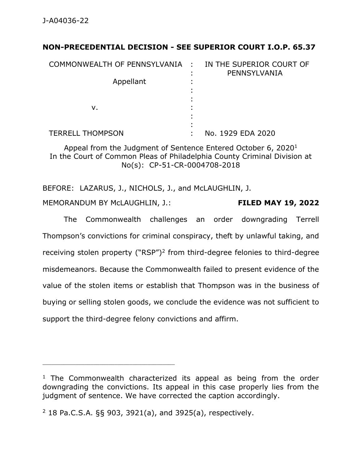## **NON-PRECEDENTIAL DECISION - SEE SUPERIOR COURT I.O.P. 65.37**

| COMMONWEALTH OF PENNSYLVANIA : | IN THE SUPERIOR COURT OF<br>PENNSYLVANIA |
|--------------------------------|------------------------------------------|
| Appellant                      |                                          |
| ν.                             |                                          |
| <b>TERRELL THOMPSON</b>        | No. 1929 EDA 2020                        |

Appeal from the Judgment of Sentence Entered October 6, 2020 $1$ In the Court of Common Pleas of Philadelphia County Criminal Division at No(s): CP-51-CR-0004708-2018

BEFORE: LAZARUS, J., NICHOLS, J., and McLAUGHLIN, J.

MEMORANDUM BY McLAUGHLIN, J.: **FILED MAY 19, 2022**

The Commonwealth challenges an order downgrading Terrell Thompson's convictions for criminal conspiracy, theft by unlawful taking, and receiving stolen property ("RSP")<sup>2</sup> from third-degree felonies to third-degree misdemeanors. Because the Commonwealth failed to present evidence of the value of the stolen items or establish that Thompson was in the business of buying or selling stolen goods, we conclude the evidence was not sufficient to support the third-degree felony convictions and affirm.

 $1$  The Commonwealth characterized its appeal as being from the order downgrading the convictions. Its appeal in this case properly lies from the judgment of sentence. We have corrected the caption accordingly.

<sup>2</sup> 18 Pa.C.S.A. §§ 903, 3921(a), and 3925(a), respectively.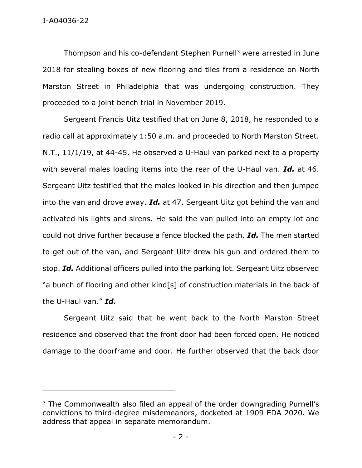Thompson and his co-defendant Stephen Purnell<sup>3</sup> were arrested in June 2018 for stealing boxes of new flooring and tiles from a residence on North Marston Street in Philadelphia that was undergoing construction. They proceeded to a joint bench trial in November 2019.

Sergeant Francis Uitz testified that on June 8, 2018, he responded to a radio call at approximately 1:50 a.m. and proceeded to North Marston Street. N.T., 11/1/19, at 44-45. He observed a U-Haul van parked next to a property with several males loading items into the rear of the U-Haul van. *Id.* at 46. Sergeant Uitz testified that the males looked in his direction and then jumped into the van and drove away. *Id.* at 47. Sergeant Uitz got behind the van and activated his lights and sirens. He said the van pulled into an empty lot and could not drive further because a fence blocked the path. *Id.* The men started to get out of the van, and Sergeant Uitz drew his gun and ordered them to stop. *Id.* Additional officers pulled into the parking lot. Sergeant Uitz observed "a bunch of flooring and other kind[s] of construction materials in the back of the U-Haul van." *Id.*

Sergeant Uitz said that he went back to the North Marston Street residence and observed that the front door had been forced open. He noticed damage to the doorframe and door. He further observed that the back door

\_\_\_\_\_\_\_\_\_\_\_\_\_\_\_\_\_\_\_\_\_\_\_\_\_\_\_\_\_\_\_\_\_\_\_\_\_\_\_\_\_\_\_\_

 $3$  The Commonwealth also filed an appeal of the order downgrading Purnell's convictions to third-degree misdemeanors, docketed at 1909 EDA 2020. We address that appeal in separate memorandum.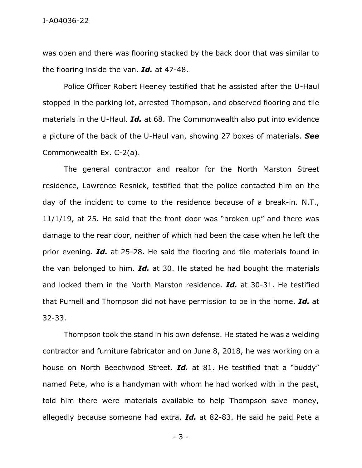J-A04036-22

was open and there was flooring stacked by the back door that was similar to the flooring inside the van. *Id.* at 47-48.

Police Officer Robert Heeney testified that he assisted after the U-Haul stopped in the parking lot, arrested Thompson, and observed flooring and tile materials in the U-Haul. *Id.* at 68. The Commonwealth also put into evidence a picture of the back of the U-Haul van, showing 27 boxes of materials. *See* Commonwealth Ex. C-2(a).

The general contractor and realtor for the North Marston Street residence, Lawrence Resnick, testified that the police contacted him on the day of the incident to come to the residence because of a break-in. N.T., 11/1/19, at 25. He said that the front door was "broken up" and there was damage to the rear door, neither of which had been the case when he left the prior evening. *Id.* at 25-28. He said the flooring and tile materials found in the van belonged to him. *Id.* at 30. He stated he had bought the materials and locked them in the North Marston residence. *Id.* at 30-31. He testified that Purnell and Thompson did not have permission to be in the home. *Id.* at 32-33.

Thompson took the stand in his own defense. He stated he was a welding contractor and furniture fabricator and on June 8, 2018, he was working on a house on North Beechwood Street. *Id.* at 81. He testified that a "buddy" named Pete, who is a handyman with whom he had worked with in the past, told him there were materials available to help Thompson save money, allegedly because someone had extra. *Id.* at 82-83. He said he paid Pete a

- 3 -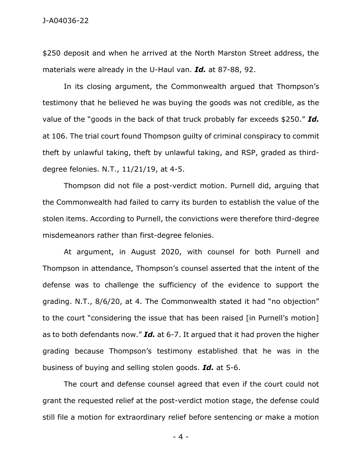\$250 deposit and when he arrived at the North Marston Street address, the materials were already in the U-Haul van. *Id.* at 87-88, 92.

In its closing argument, the Commonwealth argued that Thompson's testimony that he believed he was buying the goods was not credible, as the value of the "goods in the back of that truck probably far exceeds \$250." *Id.* at 106. The trial court found Thompson guilty of criminal conspiracy to commit theft by unlawful taking, theft by unlawful taking, and RSP, graded as thirddegree felonies. N.T., 11/21/19, at 4-5.

Thompson did not file a post-verdict motion. Purnell did, arguing that the Commonwealth had failed to carry its burden to establish the value of the stolen items. According to Purnell, the convictions were therefore third-degree misdemeanors rather than first-degree felonies.

At argument, in August 2020, with counsel for both Purnell and Thompson in attendance, Thompson's counsel asserted that the intent of the defense was to challenge the sufficiency of the evidence to support the grading. N.T., 8/6/20, at 4. The Commonwealth stated it had "no objection" to the court "considering the issue that has been raised [in Purnell's motion] as to both defendants now." *Id.* at 6-7. It argued that it had proven the higher grading because Thompson's testimony established that he was in the business of buying and selling stolen goods. *Id.* at 5-6.

The court and defense counsel agreed that even if the court could not grant the requested relief at the post-verdict motion stage, the defense could still file a motion for extraordinary relief before sentencing or make a motion

- 4 -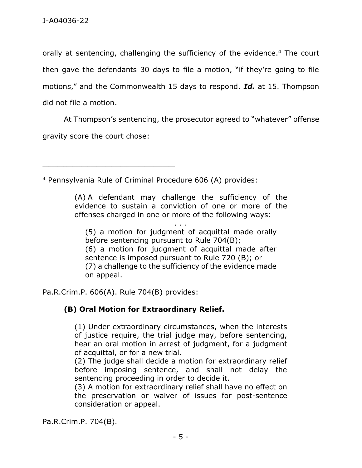orally at sentencing, challenging the sufficiency of the evidence. <sup>4</sup> The court then gave the defendants 30 days to file a motion, "if they're going to file motions," and the Commonwealth 15 days to respond. *Id.* at 15. Thompson did not file a motion.

At Thompson's sentencing, the prosecutor agreed to "whatever" offense gravity score the court chose:

<sup>4</sup> Pennsylvania Rule of Criminal Procedure 606 (A) provides:

(A) A defendant may challenge the sufficiency of the evidence to sustain a conviction of one or more of the offenses charged in one or more of the following ways:

. . .

(5) a motion for judgment of acquittal made orally before sentencing pursuant to Rule 704(B); (6) a motion for judgment of acquittal made after sentence is imposed pursuant to Rule 720 (B); or (7) a challenge to the sufficiency of the evidence made on appeal.

Pa.R.Crim.P. 606(A). Rule 704(B) provides:

\_\_\_\_\_\_\_\_\_\_\_\_\_\_\_\_\_\_\_\_\_\_\_\_\_\_\_\_\_\_\_\_\_\_\_\_\_\_\_\_\_\_\_\_

## **(B) Oral Motion for Extraordinary Relief.**

(1) Under extraordinary circumstances, when the interests of justice require, the trial judge may, before sentencing, hear an oral motion in arrest of judgment, for a judgment of acquittal, or for a new trial.

(2) The judge shall decide a motion for extraordinary relief before imposing sentence, and shall not delay the sentencing proceeding in order to decide it.

(3) A motion for extraordinary relief shall have no effect on the preservation or waiver of issues for post-sentence consideration or appeal.

Pa.R.Crim.P. 704(B).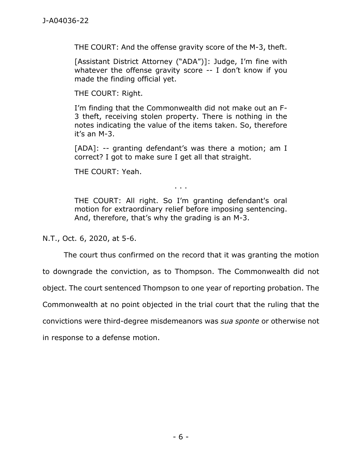THE COURT: And the offense gravity score of the M-3, theft.

[Assistant District Attorney ("ADA")]: Judge, I'm fine with whatever the offense gravity score -- I don't know if you made the finding official yet.

THE COURT: Right.

I'm finding that the Commonwealth did not make out an F-3 theft, receiving stolen property. There is nothing in the notes indicating the value of the items taken. So, therefore it's an M-3.

[ADA]: -- granting defendant's was there a motion; am I correct? I got to make sure I get all that straight.

THE COURT: Yeah.

. . .

THE COURT: All right. So I'm granting defendant's oral motion for extraordinary relief before imposing sentencing. And, therefore, that's why the grading is an M-3.

N.T., Oct. 6, 2020, at 5-6.

The court thus confirmed on the record that it was granting the motion

to downgrade the conviction, as to Thompson. The Commonwealth did not

object. The court sentenced Thompson to one year of reporting probation. The

Commonwealth at no point objected in the trial court that the ruling that the

convictions were third-degree misdemeanors was *sua sponte* or otherwise not

in response to a defense motion.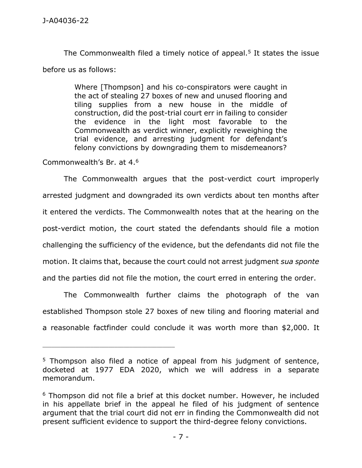The Commonwealth filed a timely notice of appeal.<sup>5</sup> It states the issue before us as follows:

> Where [Thompson] and his co-conspirators were caught in the act of stealing 27 boxes of new and unused flooring and tiling supplies from a new house in the middle of construction, did the post-trial court err in failing to consider the evidence in the light most favorable to the Commonwealth as verdict winner, explicitly reweighing the trial evidence, and arresting judgment for defendant's felony convictions by downgrading them to misdemeanors?

Commonwealth's Br. at 4.<sup>6</sup>

The Commonwealth argues that the post-verdict court improperly arrested judgment and downgraded its own verdicts about ten months after it entered the verdicts. The Commonwealth notes that at the hearing on the post-verdict motion, the court stated the defendants should file a motion challenging the sufficiency of the evidence, but the defendants did not file the motion. It claims that, because the court could not arrest judgment *sua sponte* and the parties did not file the motion, the court erred in entering the order.

The Commonwealth further claims the photograph of the van established Thompson stole 27 boxes of new tiling and flooring material and a reasonable factfinder could conclude it was worth more than \$2,000. It

<sup>&</sup>lt;sup>5</sup> Thompson also filed a notice of appeal from his judgment of sentence, docketed at 1977 EDA 2020, which we will address in a separate memorandum.

<sup>&</sup>lt;sup>6</sup> Thompson did not file a brief at this docket number. However, he included in his appellate brief in the appeal he filed of his judgment of sentence argument that the trial court did not err in finding the Commonwealth did not present sufficient evidence to support the third-degree felony convictions.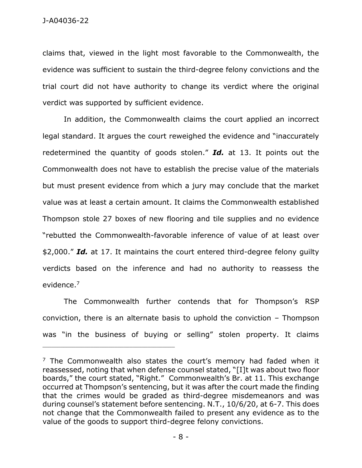claims that, viewed in the light most favorable to the Commonwealth, the evidence was sufficient to sustain the third-degree felony convictions and the trial court did not have authority to change its verdict where the original verdict was supported by sufficient evidence.

In addition, the Commonwealth claims the court applied an incorrect legal standard. It argues the court reweighed the evidence and "inaccurately redetermined the quantity of goods stolen." *Id.* at 13. It points out the Commonwealth does not have to establish the precise value of the materials but must present evidence from which a jury may conclude that the market value was at least a certain amount. It claims the Commonwealth established Thompson stole 27 boxes of new flooring and tile supplies and no evidence "rebutted the Commonwealth-favorable inference of value of at least over \$2,000." *Id.* at 17. It maintains the court entered third-degree felony guilty verdicts based on the inference and had no authority to reassess the evidence. 7

The Commonwealth further contends that for Thompson's RSP conviction, there is an alternate basis to uphold the conviction – Thompson was "in the business of buying or selling" stolen property. It claims

 $<sup>7</sup>$  The Commonwealth also states the court's memory had faded when it</sup> reassessed, noting that when defense counsel stated, "[I]t was about two floor boards," the court stated, "Right." Commonwealth's Br. at 11. This exchange occurred at Thompson's sentencing, but it was after the court made the finding that the crimes would be graded as third-degree misdemeanors and was during counsel's statement before sentencing. N.T., 10/6/20, at 6-7. This does not change that the Commonwealth failed to present any evidence as to the value of the goods to support third-degree felony convictions.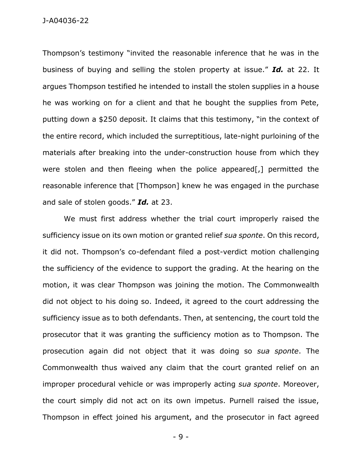J-A04036-22

Thompson's testimony "invited the reasonable inference that he was in the business of buying and selling the stolen property at issue." *Id.* at 22. It argues Thompson testified he intended to install the stolen supplies in a house he was working on for a client and that he bought the supplies from Pete, putting down a \$250 deposit. It claims that this testimony, "in the context of the entire record, which included the surreptitious, late-night purloining of the materials after breaking into the under-construction house from which they were stolen and then fleeing when the police appeared[,] permitted the reasonable inference that [Thompson] knew he was engaged in the purchase and sale of stolen goods." *Id.* at 23.

We must first address whether the trial court improperly raised the sufficiency issue on its own motion or granted relief *sua sponte*. On this record, it did not. Thompson's co-defendant filed a post-verdict motion challenging the sufficiency of the evidence to support the grading. At the hearing on the motion, it was clear Thompson was joining the motion. The Commonwealth did not object to his doing so. Indeed, it agreed to the court addressing the sufficiency issue as to both defendants. Then, at sentencing, the court told the prosecutor that it was granting the sufficiency motion as to Thompson. The prosecution again did not object that it was doing so *sua sponte*. The Commonwealth thus waived any claim that the court granted relief on an improper procedural vehicle or was improperly acting *sua sponte*. Moreover, the court simply did not act on its own impetus. Purnell raised the issue, Thompson in effect joined his argument, and the prosecutor in fact agreed

- 9 -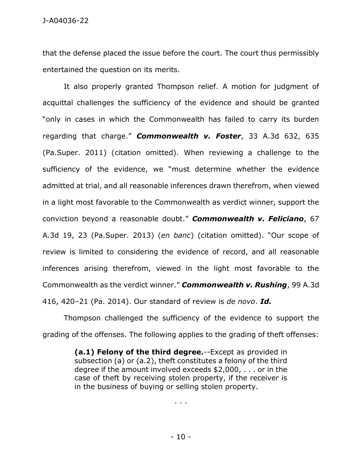J-A04036-22

that the defense placed the issue before the court. The court thus permissibly entertained the question on its merits.

It also properly granted Thompson relief. A motion for judgment of acquittal challenges the sufficiency of the evidence and should be granted "only in cases in which the Commonwealth has failed to carry its burden regarding that charge." *Commonwealth v. Foster*, 33 A.3d 632, 635 (Pa.Super. 2011) (citation omitted). When reviewing a challenge to the sufficiency of the evidence, we "must determine whether the evidence admitted at trial, and all reasonable inferences drawn therefrom, when viewed in a light most favorable to the Commonwealth as verdict winner, support the conviction beyond a reasonable doubt." *Commonwealth v. Feliciano*, 67 A.3d 19, 23 (Pa.Super. 2013) (*en banc*) (citation omitted). "Our scope of review is limited to considering the evidence of record, and all reasonable inferences arising therefrom, viewed in the light most favorable to the Commonwealth as the verdict winner." *Commonwealth v. Rushing*, 99 A.3d 416, 420–21 (Pa. 2014). Our standard of review is *de novo*. *Id.*

Thompson challenged the sufficiency of the evidence to support the grading of the offenses. The following applies to the grading of theft offenses:

> **(a.1) Felony of the third degree.**--Except as provided in subsection (a) or (a.2), theft constitutes a felony of the third degree if the amount involved exceeds \$2,000, . . . or in the case of theft by receiving stolen property, if the receiver is in the business of buying or selling stolen property.

> > . . .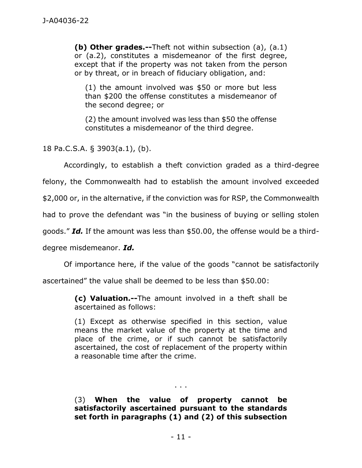**(b) Other grades.--**Theft not within subsection (a), (a.1) or (a.2), constitutes a misdemeanor of the first degree, except that if the property was not taken from the person or by threat, or in breach of fiduciary obligation, and:

(1) the amount involved was \$50 or more but less than \$200 the offense constitutes a misdemeanor of the second degree; or

(2) the amount involved was less than \$50 the offense constitutes a misdemeanor of the third degree.

18 Pa.C.S.A. § 3903(a.1), (b).

Accordingly, to establish a theft conviction graded as a third-degree

felony, the Commonwealth had to establish the amount involved exceeded

\$2,000 or, in the alternative, if the conviction was for RSP, the Commonwealth

had to prove the defendant was "in the business of buying or selling stolen

goods." *Id.* If the amount was less than \$50.00, the offense would be a third-

degree misdemeanor. *Id.*

Of importance here, if the value of the goods "cannot be satisfactorily

ascertained" the value shall be deemed to be less than \$50.00:

**(c) Valuation.--**The amount involved in a theft shall be ascertained as follows:

(1) Except as otherwise specified in this section, value means the market value of the property at the time and place of the crime, or if such cannot be satisfactorily ascertained, the cost of replacement of the property within a reasonable time after the crime.

(3) **When the value of property cannot be satisfactorily ascertained pursuant to the standards set forth in paragraphs (1) and (2) of this subsection** 

. . .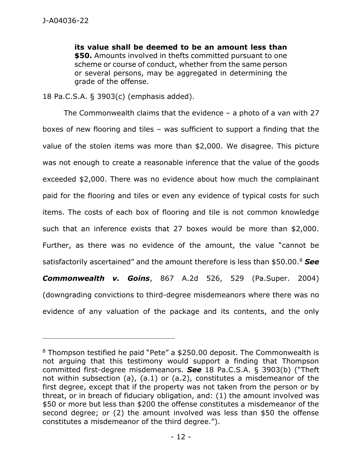**its value shall be deemed to be an amount less than \$50.** Amounts involved in thefts committed pursuant to one scheme or course of conduct, whether from the same person or several persons, may be aggregated in determining the grade of the offense.

18 Pa.C.S.A. § 3903(c) (emphasis added).

\_\_\_\_\_\_\_\_\_\_\_\_\_\_\_\_\_\_\_\_\_\_\_\_\_\_\_\_\_\_\_\_\_\_\_\_\_\_\_\_\_\_\_\_

The Commonwealth claims that the evidence  $-$  a photo of a van with 27 boxes of new flooring and tiles – was sufficient to support a finding that the value of the stolen items was more than \$2,000. We disagree. This picture was not enough to create a reasonable inference that the value of the goods exceeded \$2,000. There was no evidence about how much the complainant paid for the flooring and tiles or even any evidence of typical costs for such items. The costs of each box of flooring and tile is not common knowledge such that an inference exists that 27 boxes would be more than \$2,000. Further, as there was no evidence of the amount, the value "cannot be satisfactorily ascertained" and the amount therefore is less than \$50.00.<sup>8</sup> *See Commonwealth v. Goins*, 867 A.2d 526, 529 (Pa.Super. 2004) (downgrading convictions to third-degree misdemeanors where there was no evidence of any valuation of the package and its contents, and the only

<sup>8</sup> Thompson testified he paid "Pete" a \$250.00 deposit. The Commonwealth is not arguing that this testimony would support a finding that Thompson committed first-degree misdemeanors. *See* 18 Pa.C.S.A. § 3903(b) ("Theft not within subsection (a), (a.1) or (a.2), constitutes a misdemeanor of the first degree, except that if the property was not taken from the person or by threat, or in breach of fiduciary obligation, and: (1) the amount involved was \$50 or more but less than \$200 the offense constitutes a misdemeanor of the second degree; or (2) the amount involved was less than \$50 the offense constitutes a misdemeanor of the third degree.").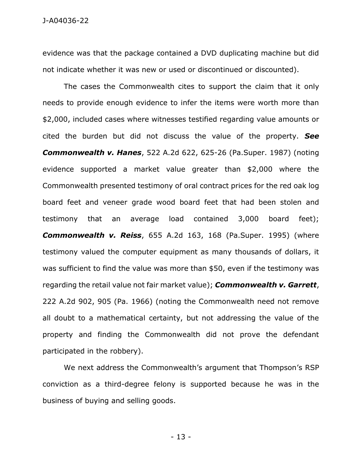evidence was that the package contained a DVD duplicating machine but did not indicate whether it was new or used or discontinued or discounted).

The cases the Commonwealth cites to support the claim that it only needs to provide enough evidence to infer the items were worth more than \$2,000, included cases where witnesses testified regarding value amounts or cited the burden but did not discuss the value of the property. *See Commonwealth v. Hanes*, 522 A.2d 622, 625-26 (Pa.Super. 1987) (noting evidence supported a market value greater than \$2,000 where the Commonwealth presented testimony of oral contract prices for the red oak log board feet and veneer grade wood board feet that had been stolen and testimony that an average load contained 3,000 board feet); *Commonwealth v. Reiss*, 655 A.2d 163, 168 (Pa.Super. 1995) (where testimony valued the computer equipment as many thousands of dollars, it was sufficient to find the value was more than \$50, even if the testimony was regarding the retail value not fair market value); *Commonwealth v. Garrett*, 222 A.2d 902, 905 (Pa. 1966) (noting the Commonwealth need not remove all doubt to a mathematical certainty, but not addressing the value of the property and finding the Commonwealth did not prove the defendant participated in the robbery).

We next address the Commonwealth's argument that Thompson's RSP conviction as a third-degree felony is supported because he was in the business of buying and selling goods.

- 13 -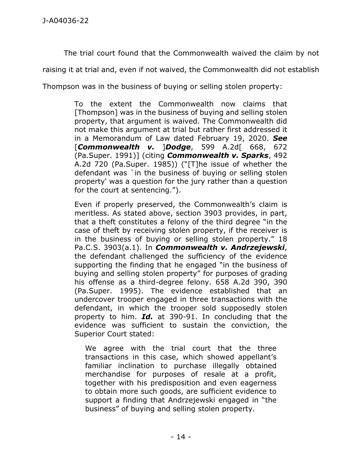The trial court found that the Commonwealth waived the claim by not

raising it at trial and, even if not waived, the Commonwealth did not establish

Thompson was in the business of buying or selling stolen property:

To the extent the Commonwealth now claims that [Thompson] was in the business of buying and selling stolen property, that argument is waived. The Commonwealth did not make this argument at trial but rather first addressed it in a Memorandum of Law dated February 19, 2020. *See* [*Commonwealth v.* ]*Dodge*, 599 A.2d[ 668, 672 (Pa.Super. 1991)] (citing *Commonwealth v. Sparks*, 492 A.2d 720 (Pa.Super. 1985)) ("[T]he issue of whether the defendant was `in the business of buying or selling stolen property' was a question for the jury rather than a question for the court at sentencing.").

Even if properly preserved, the Commonwealth's claim is meritless. As stated above, section 3903 provides, in part, that a theft constitutes a felony of the third degree "in the case of theft by receiving stolen property, if the receiver is in the business of buying or selling stolen property." 18 Pa.C.S. 3903(a.1). In *Commonwealth v. Andrzejewski*, the defendant challenged the sufficiency of the evidence supporting the finding that he engaged "in the business of buying and selling stolen property" for purposes of grading his offense as a third-degree felony. 658 A.2d 390, 390 (Pa.Super. 1995). The evidence established that an undercover trooper engaged in three transactions with the defendant, in which the trooper sold supposedly stolen property to him. *Id.* at 390-91. In concluding that the evidence was sufficient to sustain the conviction, the Superior Court stated:

We agree with the trial court that the three transactions in this case, which showed appellant's familiar inclination to purchase illegally obtained merchandise for purposes of resale at a profit, together with his predisposition and even eagerness to obtain more such goods, are sufficient evidence to support a finding that Andrzejewski engaged in "the business" of buying and selling stolen property.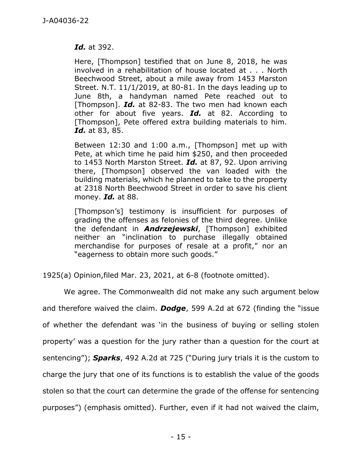*Id.* at 392.

Here, [Thompson] testified that on June 8, 2018, he was involved in a rehabilitation of house located at . . . North Beechwood Street, about a mile away from 1453 Marston Street. N.T. 11/1/2019, at 80-81. In the days leading up to June 8th, a handyman named Pete reached out to [Thompson]. *Id.* at 82-83. The two men had known each other for about five years. *Id.* at 82. According to [Thompson], Pete offered extra building materials to him. *Id.* at 83, 85.

Between 12:30 and 1:00 a.m., [Thompson] met up with Pete, at which time he paid him \$250, and then proceeded to 1453 North Marston Street. *Id.* at 87, 92. Upon arriving there, [Thompson] observed the van loaded with the building materials, which he planned to take to the property at 2318 North Beechwood Street in order to save his client money. *Id.* at 88.

[Thompson's] testimony is insufficient for purposes of grading the offenses as felonies of the third degree. Unlike the defendant in *Andrzejewski*, [Thompson] exhibited neither an "inclination to purchase illegally obtained merchandise for purposes of resale at a profit," nor an "eagerness to obtain more such goods."

1925(a) Opinion,filed Mar. 23, 2021, at 6-8 (footnote omitted).

We agree. The Commonwealth did not make any such argument below and therefore waived the claim. *Dodge*, 599 A.2d at 672 (finding the "issue of whether the defendant was 'in the business of buying or selling stolen property' was a question for the jury rather than a question for the court at sentencing"); *Sparks*, 492 A.2d at 725 ("During jury trials it is the custom to charge the jury that one of its functions is to establish the value of the goods stolen so that the court can determine the grade of the offense for sentencing purposes") (emphasis omitted). Further, even if it had not waived the claim,